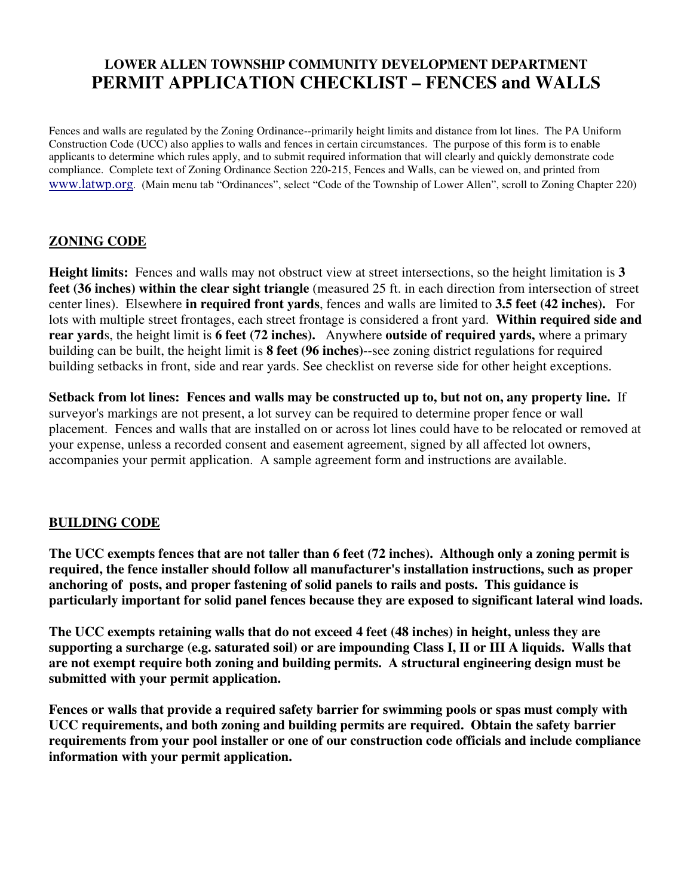## **LOWER ALLEN TOWNSHIP COMMUNITY DEVELOPMENT DEPARTMENT PERMIT APPLICATION CHECKLIST – FENCES and WALLS**

Fences and walls are regulated by the Zoning Ordinance--primarily height limits and distance from lot lines. The PA Uniform Construction Code (UCC) also applies to walls and fences in certain circumstances. The purpose of this form is to enable applicants to determine which rules apply, and to submit required information that will clearly and quickly demonstrate code compliance. Complete text of Zoning Ordinance Section 220-215, Fences and Walls, can be viewed on, and printed from www.latwp.org. (Main menu tab "Ordinances", select "Code of the Township of Lower Allen", scroll to Zoning Chapter 220)

## **ZONING CODE**

**Height limits:** Fences and walls may not obstruct view at street intersections, so the height limitation is **3 feet (36 inches) within the clear sight triangle** (measured 25 ft. in each direction from intersection of street center lines). Elsewhere **in required front yards**, fences and walls are limited to **3.5 feet (42 inches).** For lots with multiple street frontages, each street frontage is considered a front yard. **Within required side and rear yard**s, the height limit is **6 feet (72 inches).** Anywhere **outside of required yards,** where a primary building can be built, the height limit is **8 feet (96 inches)**--see zoning district regulations for required building setbacks in front, side and rear yards. See checklist on reverse side for other height exceptions.

**Setback from lot lines: Fences and walls may be constructed up to, but not on, any property line.** If surveyor's markings are not present, a lot survey can be required to determine proper fence or wall placement. Fences and walls that are installed on or across lot lines could have to be relocated or removed at your expense, unless a recorded consent and easement agreement, signed by all affected lot owners, accompanies your permit application. A sample agreement form and instructions are available.

## **BUILDING CODE**

**The UCC exempts fences that are not taller than 6 feet (72 inches). Although only a zoning permit is required, the fence installer should follow all manufacturer's installation instructions, such as proper anchoring of posts, and proper fastening of solid panels to rails and posts. This guidance is particularly important for solid panel fences because they are exposed to significant lateral wind loads.** 

**The UCC exempts retaining walls that do not exceed 4 feet (48 inches) in height, unless they are supporting a surcharge (e.g. saturated soil) or are impounding Class I, II or III A liquids. Walls that are not exempt require both zoning and building permits. A structural engineering design must be submitted with your permit application.** 

**Fences or walls that provide a required safety barrier for swimming pools or spas must comply with UCC requirements, and both zoning and building permits are required. Obtain the safety barrier requirements from your pool installer or one of our construction code officials and include compliance information with your permit application.**